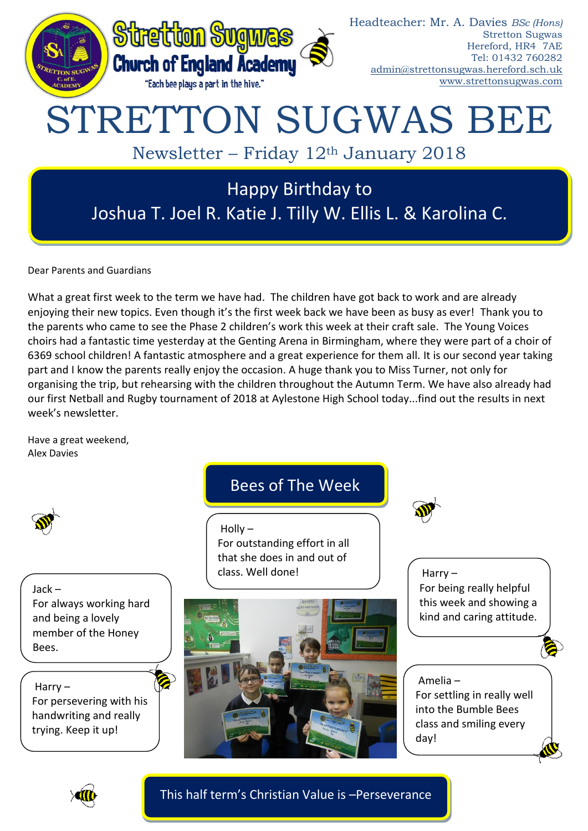

Dear Parents and Guardians

What a great first week to the term we have had. The children have got back to work and are already enjoying their new topics. Even though it's the first week back we have been as busy as ever! Thank you to the parents who came to see the Phase 2 children's work this week at their craft sale. The Young Voices choirs had a fantastic time yesterday at the Genting Arena in Birmingham, where they were part of a choir of 6369 school children! A fantastic atmosphere and a great experience for them all. It is our second year taking part and I know the parents really enjoy the occasion. A huge thank you to Miss Turner, not only for organising the trip, but rehearsing with the children throughout the Autumn Term. We have also already had our first Netball and Rugby tournament of 2018 at Aylestone High School today...find out the results in next week's newsletter.

Have a great weekend, Alex Davies

Jack – For always working hard and being a lovely member of the Honey Bees.

Harry – For persevering with his handwriting and really trying. Keep it up!

## Bees of The Week

 $H$ olly – For outstanding effort in all that she does in and out of class. Well done!



Harry – For being really helpful this week and showing a kind and caring attitude.

### Amelia – For settling in really well into the Bumble Bees class and smiling every day!



This half term's Christian Value is –Perseverance